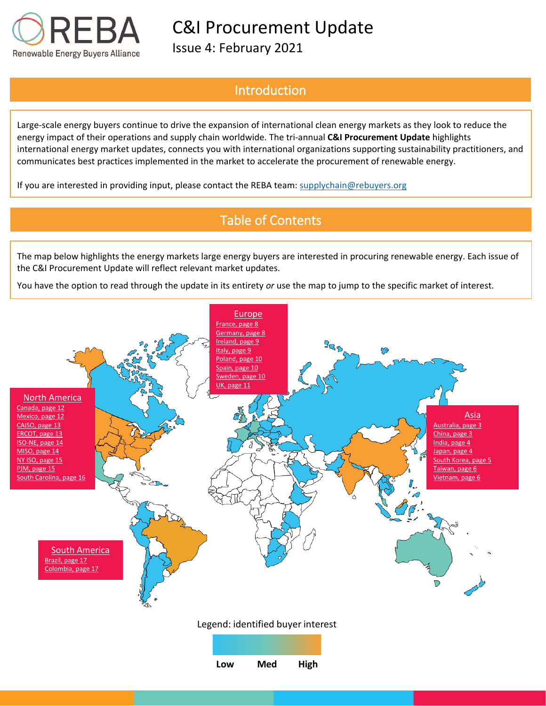

Issue 4: February 2021

## Introduction

Large-scale energy buyers continue to drive the expansion of international clean energy markets as they look to reduce the energy impact of their operations and supply chain worldwide. The tri-annual **C&I Procurement Update** highlights international energy market updates, connects you with international organizations supporting sustainability practitioners, and communicates best practices implemented in the market to accelerate the procurement of renewable energy.

If you are interested in providing input, please contact the REBA team: [supplychain@rebuyers.org](mailto:supplychain@rebuyers.org)

# Table of Contents

The map below highlights the energy markets large energy buyers are interested in procuring renewable energy. Each issue of the C&I Procurement Update will reflect relevant market updates.

You have the option to read through the update in its entirety *or* use the map to jump to the specific market of interest.

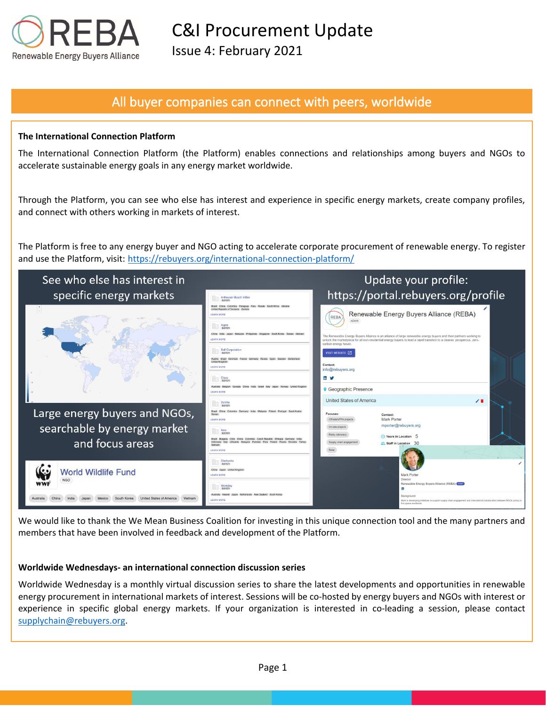

Issue 4: February 2021

## All buyer companies can connect with peers, worldwide

### **The International Connection Platform**

The International Connection Platform (the Platform) enables connections and relationships among buyers and NGOs to accelerate sustainable energy goals in any energy market worldwide.

Through the Platform, you can see who else has interest and experience in specific energy markets, create company profiles, and connect with others working in markets of interest.

The Platform is free to any energy buyer and NGO acting to accelerate corporate procurement of renewable energy. To register and use the Platform, visit: https://rebuyers.org/international-connection-platform/



We would like to thank the We Mean Business Coalition for investing in this unique connection tool and the many partners and members that have been involved in feedback and development of the Platform.

#### **Worldwide Wednesdays- an international connection discussion series**

Worldwide Wednesday is a monthly virtual discussion series to share the latest developments and opportunities in renewable energy procurement in international markets of interest. Sessions will be co-hosted by energy buyers and NGOs with interest or experience in specific global energy markets. If your organization is interested in co-leading a session, please contact [supplychain@rebuyers.org.](mailto:supplychain@rebuyers.org)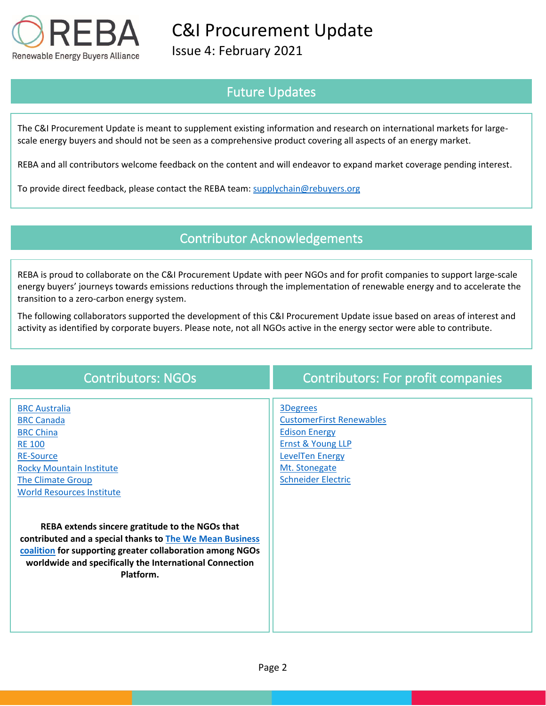

Issue 4: February 2021

# Future Updates

The C&I Procurement Update is meant to supplement existing information and research on international markets for largescale energy buyers and should not be seen as a comprehensive product covering all aspects of an energy market.

REBA and all contributors welcome feedback on the content and will endeavor to expand market coverage pending interest.

To provide direct feedback, please contact the REBA team: [supplychain@rebuyers.org](mailto:supplychain@rebuyers.org)

## Contributor Acknowledgements

REBA is proud to collaborate on the C&I Procurement Update with peer NGOs and for profit companies to support large-scale energy buyers' journeys towards emissions reductions through the implementation of renewable energy and to accelerate the transition to a zero-carbon energy system.

The following collaborators supported the development of this C&I Procurement Update issue based on areas of interest and activity as identified by corporate buyers. Please note, not all NGOs active in the energy sector were able to contribute.

| <b>Contributors: NGOs</b>                                                                                                                                                                                                                        | <b>Contributors: For profit companies</b>                                                                                    |
|--------------------------------------------------------------------------------------------------------------------------------------------------------------------------------------------------------------------------------------------------|------------------------------------------------------------------------------------------------------------------------------|
| <b>BRC</b> Australia<br><b>BRC Canada</b>                                                                                                                                                                                                        | <b>3Degrees</b><br><b>CustomerFirst Renewables</b>                                                                           |
| <b>BRC China</b><br><b>RE 100</b><br><b>RE-Source</b><br><b>Rocky Mountain Institute</b><br><b>The Climate Group</b><br><b>World Resources Institute</b>                                                                                         | <b>Edison Energy</b><br><b>Ernst &amp; Young LLP</b><br><b>LevelTen Energy</b><br>Mt. Stonegate<br><b>Schneider Electric</b> |
| REBA extends sincere gratitude to the NGOs that<br>contributed and a special thanks to The We Mean Business<br>coalition for supporting greater collaboration among NGOs<br>worldwide and specifically the International Connection<br>Platform. |                                                                                                                              |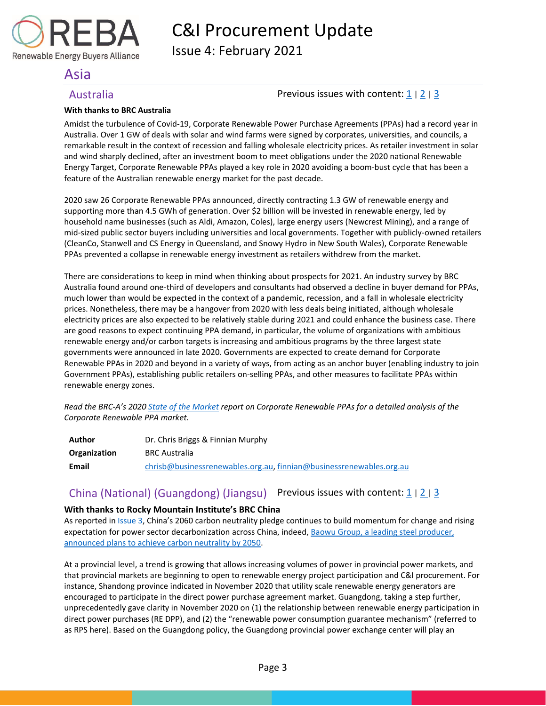

Issue 4: February 2021

## <span id="page-3-0"></span>Asia

### <span id="page-3-1"></span>Australia **Previous issues with content:**  $\frac{1}{2}$  $\frac{1}{2}$  $\frac{1}{2}$  |  $\frac{3}{2}$  $\frac{3}{2}$  $\frac{3}{2}$

### **With thanks to BRC Australia**

Amidst the turbulence of Covid-19, Corporate Renewable Power Purchase Agreements (PPAs) had a record year in Australia. Over 1 GW of deals with solar and wind farms were signed by corporates, universities, and councils, a remarkable result in the context of recession and falling wholesale electricity prices. As retailer investment in solar and wind sharply declined, after an investment boom to meet obligations under the 2020 national Renewable Energy Target, Corporate Renewable PPAs played a key role in 2020 avoiding a boom-bust cycle that has been a feature of the Australian renewable energy market for the past decade.

2020 saw 26 Corporate Renewable PPAs announced, directly contracting 1.3 GW of renewable energy and supporting more than 4.5 GWh of generation. Over \$2 billion will be invested in renewable energy, led by household name businesses (such as Aldi, Amazon, Coles), large energy users (Newcrest Mining), and a range of mid-sized public sector buyers including universities and local governments. Together with publicly-owned retailers (CleanCo, Stanwell and CS Energy in Queensland, and Snowy Hydro in New South Wales), Corporate Renewable PPAs prevented a collapse in renewable energy investment as retailers withdrew from the market.

There are considerations to keep in mind when thinking about prospects for 2021. An industry survey by BRC Australia found around one-third of developers and consultants had observed a decline in buyer demand for PPAs, much lower than would be expected in the context of a pandemic, recession, and a fall in wholesale electricity prices. Nonetheless, there may be a hangover from 2020 with less deals being initiated, although wholesale electricity prices are also expected to be relatively stable during 2021 and could enhance the business case. There are good reasons to expect continuing PPA demand, in particular, the volume of organizations with ambitious renewable energy and/or carbon targets is increasing and ambitious programs by the three largest state governments were announced in late 2020. Governments are expected to create demand for Corporate Renewable PPAs in 2020 and beyond in a variety of ways, from acting as an anchor buyer (enabling industry to join Government PPAs), establishing public retailers on-selling PPAs, and other measures to facilitate PPAs within renewable energy zones.

*Read the BRC-A's 2020 [State of the Market](https://businessrenewables.org.au/state-of-the-market-report-2020/) report on Corporate Renewable PPAs for a detailed analysis of the Corporate Renewable PPA market.*

| Author       | Dr. Chris Briggs & Finnian Murphy                                      |
|--------------|------------------------------------------------------------------------|
| Organization | <b>BRC Australia</b>                                                   |
| Email        | $chrisb@businesrenewables.org.au$ , $finnian@businesrenewables.org.au$ |

## <span id="page-3-2"></span>China (National) (Guangdong) (Jiangsu) Previous issues with content:  $1/2/3$  $1/2/3$  $1/2/3$  $1/2/3$

### **With thanks to Rocky Mountain Institute's BRC China**

As reported in [Issue 3,](https://documentcloud.adobe.com/link/track?uri=urn:aaid:scds:US:6601ed7a-4da4-4e40-8b34-921171ec412a#pageNum=1) China's 2060 carbon neutrality pledge continues to build momentum for change and rising expectation for power sector decarbonization across China, indeed[, Baowu Group, a leading steel producer,](https://www.reuters.com/article/us-china-climatechange-baowu/chinas-top-steelmaker-baowu-group-vows-to-achieve-carbon-neutrality-by-2050-idUSKBN29Q0G1)  [announced plans to achieve carbon neutrality by 2050.](https://www.reuters.com/article/us-china-climatechange-baowu/chinas-top-steelmaker-baowu-group-vows-to-achieve-carbon-neutrality-by-2050-idUSKBN29Q0G1) 

At a provincial level, a trend is growing that allows increasing volumes of power in provincial power markets, and that provincial markets are beginning to open to renewable energy project participation and C&I procurement. For instance, Shandong province indicated in November 2020 that utility scale renewable energy generators are encouraged to participate in the direct power purchase agreement market. Guangdong, taking a step further, unprecedentedly gave clarity in November 2020 on (1) the relationship between renewable energy participation in direct power purchases (RE DPP), and (2) the "renewable power consumption guarantee mechanism" (referred to as RPS here). Based on the Guangdong policy, the Guangdong provincial power exchange center will play an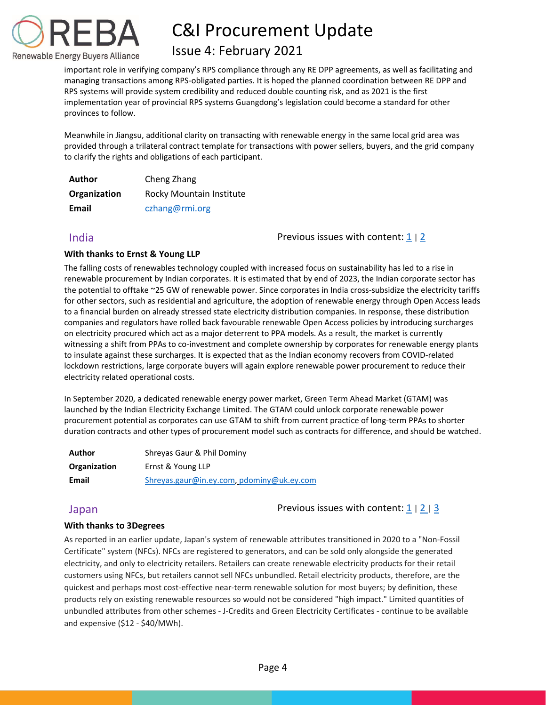

## Issue 4: February 2021

important role in verifying company's RPS compliance through any RE DPP agreements, as well as facilitating and managing transactions among RPS-obligated parties. It is hoped the planned coordination between RE DPP and RPS systems will provide system credibility and reduced double counting risk, and as 2021 is the first implementation year of provincial RPS systems Guangdong's legislation could become a standard for other provinces to follow.

Meanwhile in Jiangsu, additional clarity on transacting with renewable energy in the same local grid area was provided through a trilateral contract template for transactions with power sellers, buyers, and the grid company to clarify the rights and obligations of each participant.

| Author       | Cheng Zhang              |
|--------------|--------------------------|
| Organization | Rocky Mountain Institute |
| Email        | czhang@rmi.org           |

<span id="page-4-0"></span>India Previous issues with content: [1](https://reba2019dev.wpengine.com/wp-content/uploads/2020/02/REBA-CI-Procurement-Update_Feb-2020-1.pdf) <sup>|</sup>[2](https://rebuyers.org/wp-content/uploads/2020/07/C_I_Procurement_Update_Issue_2.pdf)

### **With thanks to Ernst & Young LLP**

The falling costs of renewables technology coupled with increased focus on sustainability has led to a rise in renewable procurement by Indian corporates. It is estimated that by end of 2023, the Indian corporate sector has the potential to offtake ~25 GW of renewable power. Since corporates in India cross-subsidize the electricity tariffs for other sectors, such as residential and agriculture, the adoption of renewable energy through Open Access leads to a financial burden on already stressed state electricity distribution companies. In response, these distribution companies and regulators have rolled back favourable renewable Open Access policies by introducing surcharges on electricity procured which act as a major deterrent to PPA models. As a result, the market is currently witnessing a shift from PPAs to co-investment and complete ownership by corporates for renewable energy plants to insulate against these surcharges. It is expected that as the Indian economy recovers from COVID-related lockdown restrictions, large corporate buyers will again explore renewable power procurement to reduce their electricity related operational costs.

In September 2020, a dedicated renewable energy power market, Green Term Ahead Market (GTAM) was launched by the Indian Electricity Exchange Limited. The GTAM could unlock corporate renewable power procurement potential as corporates can use GTAM to shift from current practice of long-term PPAs to shorter duration contracts and other types of procurement model such as contracts for difference, and should be watched.

| Author       | Shreyas Gaur & Phil Dominy                |
|--------------|-------------------------------------------|
| Organization | Ernst & Young LLP                         |
| Email        | Shreyas.gaur@in.ey.com, pdominy@uk.ey.com |

<span id="page-4-1"></span>Japan **Previous issues with content:** [1](https://reba2019dev.wpengine.com/wp-content/uploads/2020/02/REBA-CI-Procurement-Update_Feb-2020-1.pdf) | [2](https://rebuyers.org/wp-content/uploads/2020/07/C_I_Procurement_Update_Issue_2.pdf) | [3](https://documentcloud.adobe.com/link/track?uri=urn:aaid:scds:US:6601ed7a-4da4-4e40-8b34-921171ec412a#pageNum=1)

### **With thanks to 3Degrees**

As reported in an earlier update, Japan's system of renewable attributes transitioned in 2020 to a "Non-Fossil Certificate" system (NFCs). NFCs are registered to generators, and can be sold only alongside the generated electricity, and only to electricity retailers. Retailers can create renewable electricity products for their retail customers using NFCs, but retailers cannot sell NFCs unbundled. Retail electricity products, therefore, are the quickest and perhaps most cost-effective near-term renewable solution for most buyers; by definition, these products rely on existing renewable resources so would not be considered "high impact." Limited quantities of unbundled attributes from other schemes - J-Credits and Green Electricity Certificates - continue to be available and expensive (\$12 - \$40/MWh).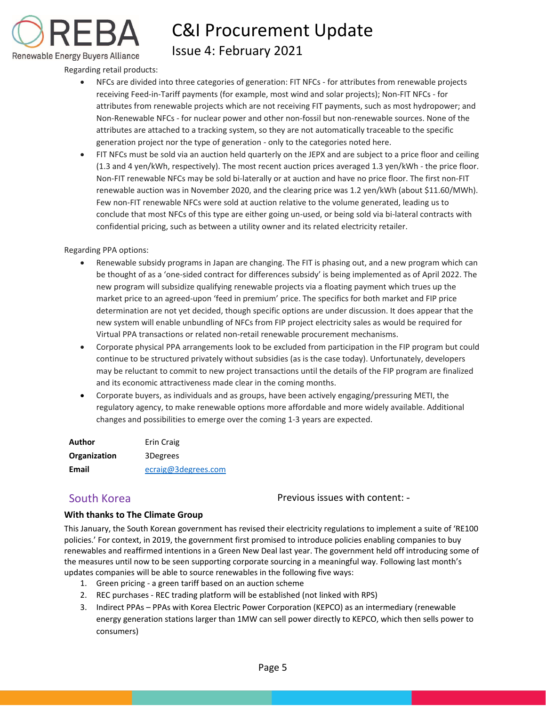

# C&I Procurement Update Issue 4: February 2021

Regarding retail products:

- NFCs are divided into three categories of generation: FIT NFCs for attributes from renewable projects receiving Feed-in-Tariff payments (for example, most wind and solar projects); Non-FIT NFCs - for attributes from renewable projects which are not receiving FIT payments, such as most hydropower; and Non-Renewable NFCs - for nuclear power and other non-fossil but non-renewable sources. None of the attributes are attached to a tracking system, so they are not automatically traceable to the specific generation project nor the type of generation - only to the categories noted here.
- FIT NFCs must be sold via an auction held quarterly on the JEPX and are subject to a price floor and ceiling (1.3 and 4 yen/kWh, respectively). The most recent auction prices averaged 1.3 yen/kWh - the price floor. Non-FIT renewable NFCs may be sold bi-laterally or at auction and have no price floor. The first non-FIT renewable auction was in November 2020, and the clearing price was 1.2 yen/kWh (about \$11.60/MWh). Few non-FIT renewable NFCs were sold at auction relative to the volume generated, leading us to conclude that most NFCs of this type are either going un-used, or being sold via bi-lateral contracts with confidential pricing, such as between a utility owner and its related electricity retailer.

#### Regarding PPA options:

- Renewable subsidy programs in Japan are changing. The FIT is phasing out, and a new program which can be thought of as a 'one-sided contract for differences subsidy' is being implemented as of April 2022. The new program will subsidize qualifying renewable projects via a floating payment which trues up the market price to an agreed-upon 'feed in premium' price. The specifics for both market and FIP price determination are not yet decided, though specific options are under discussion. It does appear that the new system will enable unbundling of NFCs from FIP project electricity sales as would be required for Virtual PPA transactions or related non-retail renewable procurement mechanisms.
- Corporate physical PPA arrangements look to be excluded from participation in the FIP program but could continue to be structured privately without subsidies (as is the case today). Unfortunately, developers may be reluctant to commit to new project transactions until the details of the FIP program are finalized and its economic attractiveness made clear in the coming months.
- Corporate buyers, as individuals and as groups, have been actively engaging/pressuring METI, the regulatory agency, to make renewable options more affordable and more widely available. Additional changes and possibilities to emerge over the coming 1-3 years are expected.

| Author              | Erin Craig          |
|---------------------|---------------------|
| <b>Organization</b> | 3Degrees            |
| Email               | ecraig@3degrees.com |

<span id="page-5-0"></span>South Korea **Previous** issues with content: -

### **With thanks to The Climate Group**

This January, the South Korean government has revised their electricity regulations to implement a suite of 'RE100 policies.' For context, in 2019, the government first promised to introduce policies enabling companies to buy renewables and reaffirmed intentions in a Green New Deal last year. The government held off introducing some of the measures until now to be seen supporting corporate sourcing in a meaningful way. Following last month's updates companies will be able to source renewables in the following five ways:

- 1. Green pricing a green tariff based on an auction scheme
- 2. REC purchases REC trading platform will be established (not linked with RPS)
- 3. Indirect PPAs PPAs with Korea Electric Power Corporation (KEPCO) as an intermediary (renewable energy generation stations larger than 1MW can sell power directly to KEPCO, which then sells power to consumers)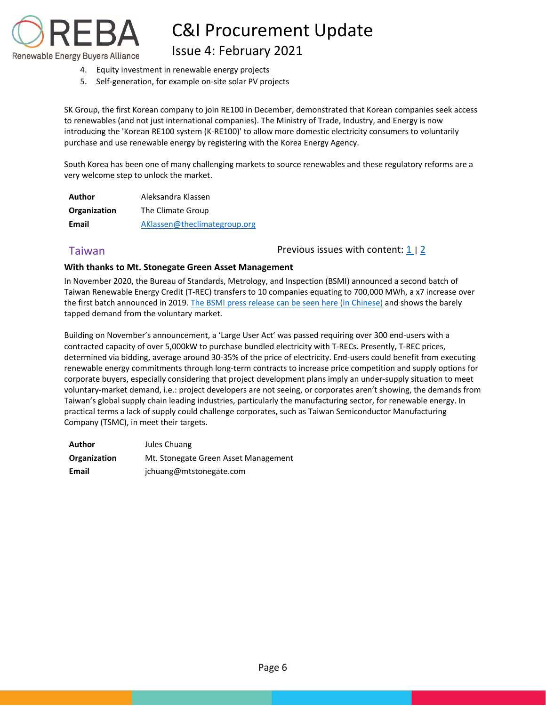

Issue 4: February 2021

- 4. Equity investment in renewable energy projects
- 5. Self-generation, for example on-site solar PV projects

SK Group, the first Korean company to join RE100 in December, demonstrated that Korean companies seek access to renewables (and not just international companies). The Ministry of Trade, Industry, and Energy is now introducing the 'Korean RE100 system (K-RE100)' to allow more domestic electricity consumers to voluntarily purchase and use renewable energy by registering with the Korea Energy Agency.

South Korea has been one of many challenging markets to source renewables and these regulatory reforms are a very welcome step to unlock the market.

| Author       | Aleksandra Klassen           |
|--------------|------------------------------|
| Organization | The Climate Group            |
| Email        | AKlassen@theclimategroup.org |

<span id="page-6-0"></span>Taiwan **Previous issues with content:**  $\frac{1}{2}$  $\frac{1}{2}$  $\frac{1}{2}$ 

#### **With thanks to Mt. Stonegate Green Asset Management**

In November 2020, the Bureau of Standards, Metrology, and Inspection (BSMI) announced a second batch of Taiwan Renewable Energy Credit (T-REC) transfers to 10 companies equating to 700,000 MWh, a x7 increase over the first batch announced in 2019. [The BSMI press release can be seen here](https://www.bsmi.gov.tw/wSite/ct?xItem=91720&ctNode=8321&mp=1) (in Chinese) and shows the barely tapped demand from the voluntary market.

Building on November's announcement, a 'Large User Act' was passed requiring over 300 end-users with a contracted capacity of over 5,000kW to purchase bundled electricity with T-RECs. Presently, T-REC prices, determined via bidding, average around 30-35% of the price of electricity. End-users could benefit from executing renewable energy commitments through long-term contracts to increase price competition and supply options for corporate buyers, especially considering that project development plans imply an under-supply situation to meet voluntary-market demand, i.e.: project developers are not seeing, or corporates aren't showing, the demands from Taiwan's global supply chain leading industries, particularly the manufacturing sector, for renewable energy. In practical terms a lack of supply could challenge corporates, such as Taiwan Semiconductor Manufacturing Company (TSMC), in meet their targets.

<span id="page-6-1"></span>

| Author       | Jules Chuang                         |
|--------------|--------------------------------------|
| Organization | Mt. Stonegate Green Asset Management |
| Email        | jchuang@mtstonegate.com              |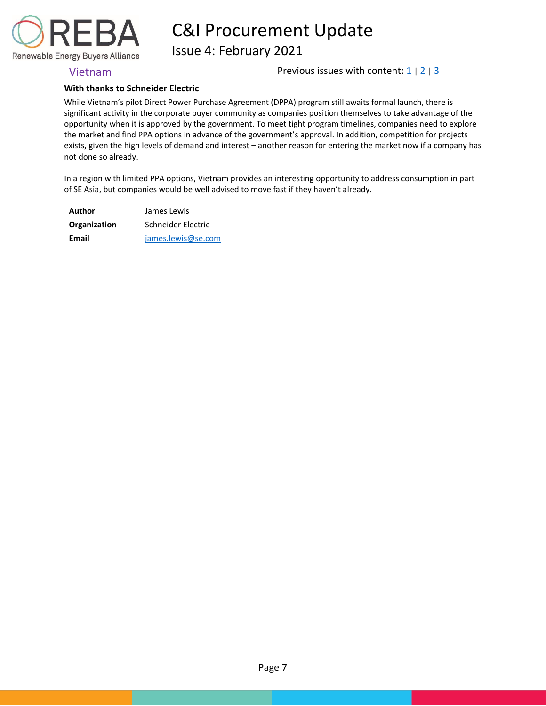

Issue 4: February 2021

Vietnam **Previous** issues with content:  $\frac{1}{2}$  $\frac{1}{2}$  $\frac{1}{2}$  |  $\frac{3}{2}$  $\frac{3}{2}$  $\frac{3}{2}$ 

### **With thanks to Schneider Electric**

While Vietnam's pilot Direct Power Purchase Agreement (DPPA) program still awaits formal launch, there is significant activity in the corporate buyer community as companies position themselves to take advantage of the opportunity when it is approved by the government. To meet tight program timelines, companies need to explore the market and find PPA options in advance of the government's approval. In addition, competition for projects exists, given the high levels of demand and interest – another reason for entering the market now if a company has not done so already.

In a region with limited PPA options, Vietnam provides an interesting opportunity to address consumption in part of SE Asia, but companies would be well advised to move fast if they haven't already.

<span id="page-7-0"></span>

| Author       | James Lewis        |
|--------------|--------------------|
| Organization | Schneider Electric |
| Email        | james.lewis@se.com |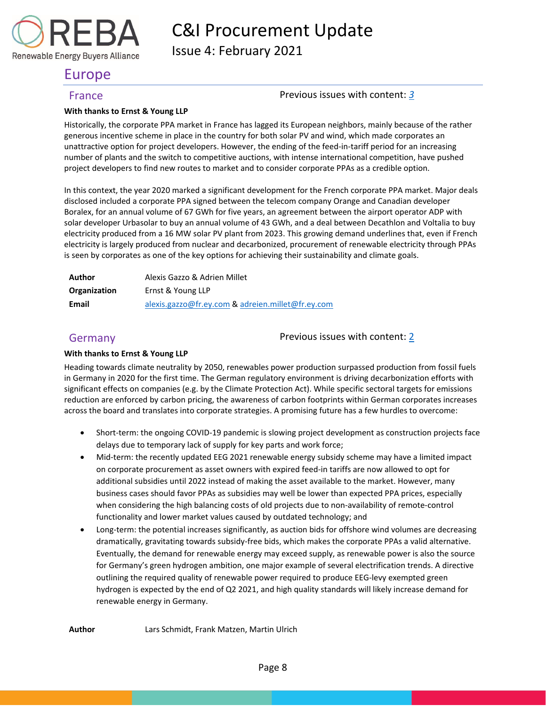

Issue 4: February 2021

## Europe

### <span id="page-8-0"></span>France Previous issues with content: *[3](https://documentcloud.adobe.com/link/track?uri=urn:aaid:scds:US:6601ed7a-4da4-4e40-8b34-921171ec412a#pageNum=1)*

### **With thanks to Ernst & Young LLP**

Historically, the corporate PPA market in France has lagged its European neighbors, mainly because of the rather generous incentive scheme in place in the country for both solar PV and wind, which made corporates an unattractive option for project developers. However, the ending of the feed-in-tariff period for an increasing number of plants and the switch to competitive auctions, with intense international competition, have pushed project developers to find new routes to market and to consider corporate PPAs as a credible option.

In this context, the year 2020 marked a significant development for the French corporate PPA market. Major deals disclosed included a corporate PPA signed between the telecom company Orange and Canadian developer Boralex, for an annual volume of 67 GWh for five years, an agreement between the airport operator ADP with solar developer Urbasolar to buy an annual volume of 43 GWh, and a deal between Decathlon and Voltalia to buy electricity produced from a 16 MW solar PV plant from 2023. This growing demand underlines that, even if French electricity is largely produced from nuclear and decarbonized, procurement of renewable electricity through PPAs is seen by corporates as one of the key options for achieving their sustainability and climate goals.

| Author       | Alexis Gazzo & Adrien Millet                      |
|--------------|---------------------------------------------------|
| Organization | Ernst & Young LLP                                 |
| Email        | alexis.gazzo@fr.ey.com & adreien.millet@fr.ey.com |

<span id="page-8-1"></span>Germany Germany **Previous** issues with content: [2](https://rebuyers.org/wp-content/uploads/2020/07/C_I_Procurement_Update_Issue_2.pdf)

### **With thanks to Ernst & Young LLP**

Heading towards climate neutrality by 2050, renewables power production surpassed production from fossil fuels in Germany in 2020 for the first time. The German regulatory environment is driving decarbonization efforts with significant effects on companies (e.g. by the Climate Protection Act). While specific sectoral targets for emissions reduction are enforced by carbon pricing, the awareness of carbon footprints within German corporates increases across the board and translates into corporate strategies. A promising future has a few hurdles to overcome:

- Short-term: the ongoing COVID-19 pandemic is slowing project development as construction projects face delays due to temporary lack of supply for key parts and work force;
- Mid-term: the recently updated EEG 2021 renewable energy subsidy scheme may have a limited impact on corporate procurement as asset owners with expired feed-in tariffs are now allowed to opt for additional subsidies until 2022 instead of making the asset available to the market. However, many business cases should favor PPAs as subsidies may well be lower than expected PPA prices, especially when considering the high balancing costs of old projects due to non-availability of remote-control functionality and lower market values caused by outdated technology; and
- Long-term: the potential increases significantly, as auction bids for offshore wind volumes are decreasing dramatically, gravitating towards subsidy-free bids, which makes the corporate PPAs a valid alternative. Eventually, the demand for renewable energy may exceed supply, as renewable power is also the source for Germany's green hydrogen ambition, one major example of several electrification trends. A directive outlining the required quality of renewable power required to produce EEG-levy exempted green hydrogen is expected by the end of Q2 2021, and high quality standards will likely increase demand for renewable energy in Germany.

**Author** Lars Schmidt, Frank Matzen, Martin Ulrich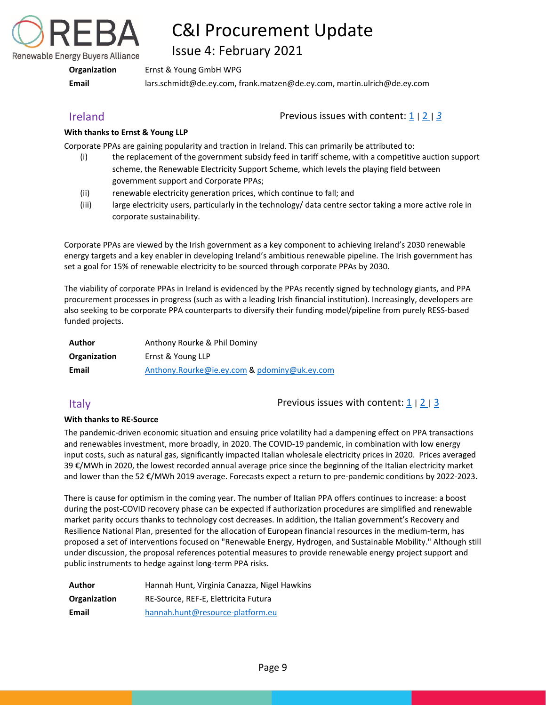

Issue 4: February 2021

**Organization** Ernst & Young GmbH WPG

**Email** lars.schmidt@de.ey.com, frank.matzen@de.ey.com, martin.ulrich@de.ey.com

<span id="page-9-0"></span>Ireland Previous issues with content: [1](https://reba2019dev.wpengine.com/wp-content/uploads/2020/02/REBA-CI-Procurement-Update_Feb-2020-1.pdf) <sup>|</sup>[2](https://rebuyers.org/wp-content/uploads/2020/07/C_I_Procurement_Update_Issue_2.pdf) <sup>|</sup>*[3](https://documentcloud.adobe.com/link/track?uri=urn:aaid:scds:US:6601ed7a-4da4-4e40-8b34-921171ec412a#pageNum=1)*

### **With thanks to Ernst & Young LLP**

Corporate PPAs are gaining popularity and traction in Ireland. This can primarily be attributed to:

- (i) the replacement of the government subsidy feed in tariff scheme, with a competitive auction support scheme, the Renewable Electricity Support Scheme, which levels the playing field between government support and Corporate PPAs;
- (ii) renewable electricity generation prices, which continue to fall; and
- (iii) large electricity users, particularly in the technology/ data centre sector taking a more active role in corporate sustainability.

Corporate PPAs are viewed by the Irish government as a key component to achieving Ireland's 2030 renewable energy targets and a key enabler in developing Ireland's ambitious renewable pipeline. The Irish government has set a goal for 15% of renewable electricity to be sourced through corporate PPAs by 2030.

The viability of corporate PPAs in Ireland is evidenced by the PPAs recently signed by technology giants, and PPA procurement processes in progress (such as with a leading Irish financial institution). Increasingly, developers are also seeking to be corporate PPA counterparts to diversify their funding model/pipeline from purely RESS-based funded projects.

| Author       | Anthony Rourke & Phil Dominy                 |
|--------------|----------------------------------------------|
| Organization | Ernst & Young LLP                            |
| Email        | Anthony.Rourke@ie.ey.com & pdominy@uk.ey.com |

<span id="page-9-1"></span>Italy  $\blacksquare$  The Previous issues with content:  $\frac{1}{2}$  $\frac{1}{2}$  $\frac{1}{2}$  |  $\frac{2}{3}$  $\frac{2}{3}$  $\frac{2}{3}$ 

### **With thanks to RE-Source**

The pandemic-driven economic situation and ensuing price volatility had a dampening effect on PPA transactions and renewables investment, more broadly, in 2020. The COVID-19 pandemic, in combination with low energy input costs, such as natural gas, significantly impacted Italian wholesale electricity prices in 2020. Prices averaged 39 €/MWh in 2020, the lowest recorded annual average price since the beginning of the Italian electricity market and lower than the 52 €/MWh 2019 average. Forecasts expect a return to pre-pandemic conditions by 2022-2023.

There is cause for optimism in the coming year. The number of Italian PPA offers continues to increase: a boost during the post-COVID recovery phase can be expected if authorization procedures are simplified and renewable market parity occurs thanks to technology cost decreases. In addition, the Italian government's Recovery and Resilience National Plan, presented for the allocation of European financial resources in the medium-term, has proposed a set of interventions focused on "Renewable Energy, Hydrogen, and Sustainable Mobility." Although still under discussion, the proposal references potential measures to provide renewable energy project support and public instruments to hedge against long-term PPA risks.

| Author       | Hannah Hunt, Virginia Canazza, Nigel Hawkins |
|--------------|----------------------------------------------|
| Organization | RE-Source, REF-E, Elettricita Futura         |
| Email        | hannah.hunt@resource-platform.eu             |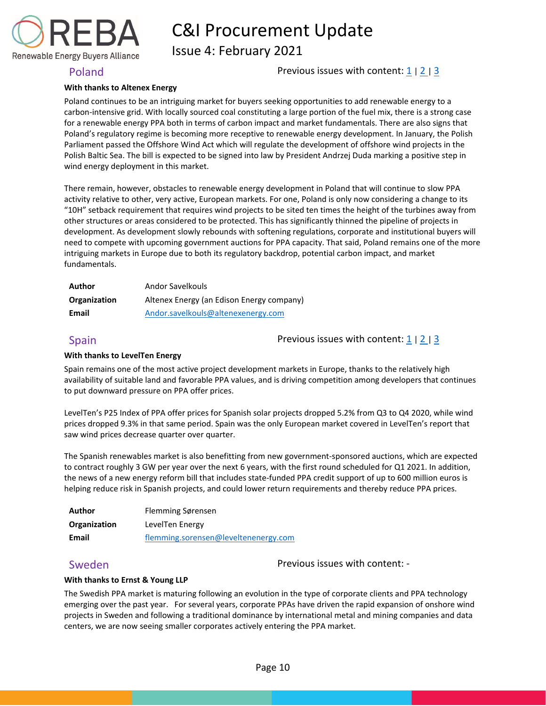

Issue 4: February 2021

<span id="page-10-0"></span>Poland Poland Previous issues with content:  $\frac{1}{2}$  $\frac{1}{2}$  $\frac{1}{2}$  |  $\frac{3}{2}$  $\frac{3}{2}$  $\frac{3}{2}$ 

### **With thanks to Altenex Energy**

Poland continues to be an intriguing market for buyers seeking opportunities to add renewable energy to a carbon-intensive grid. With locally sourced coal constituting a large portion of the fuel mix, there is a strong case for a renewable energy PPA both in terms of carbon impact and market fundamentals. There are also signs that Poland's regulatory regime is becoming more receptive to renewable energy development. In January, the Polish Parliament passed the Offshore Wind Act which will regulate the development of offshore wind projects in the Polish Baltic Sea. The bill is expected to be signed into law by President Andrzej Duda marking a positive step in wind energy deployment in this market.

There remain, however, obstacles to renewable energy development in Poland that will continue to slow PPA activity relative to other, very active, European markets. For one, Poland is only now considering a change to its "10H" setback requirement that requires wind projects to be sited ten times the height of the turbines away from other structures or areas considered to be protected. This has significantly thinned the pipeline of projects in development. As development slowly rebounds with softening regulations, corporate and institutional buyers will need to compete with upcoming government auctions for PPA capacity. That said, Poland remains one of the more intriguing markets in Europe due to both its regulatory backdrop, potential carbon impact, and market fundamentals.

| Author       | Andor Savelkouls                          |
|--------------|-------------------------------------------|
| Organization | Altenex Energy (an Edison Energy company) |
| Email        | Andor.savelkouls@altenexenergy.com        |

<span id="page-10-1"></span>Spain **Spain** Previous issues with content:  $\frac{1}{2}$  $\frac{1}{2}$  $\frac{1}{2}$  |  $\frac{2}{3}$  $\frac{2}{3}$  $\frac{2}{3}$ 

#### **With thanks to LevelTen Energy**

Spain remains one of the most active project development markets in Europe, thanks to the relatively high availability of suitable land and favorable PPA values, and is driving competition among developers that continues to put downward pressure on PPA offer prices.

LevelTen's P25 Index of PPA offer prices for Spanish solar projects dropped 5.2% from Q3 to Q4 2020, while wind prices dropped 9.3% in that same period. Spain was the only European market covered in LevelTen's report that saw wind prices decrease quarter over quarter.

The Spanish renewables market is also benefitting from new government-sponsored auctions, which are expected to contract roughly 3 GW per year over the next 6 years, with the first round scheduled for Q1 2021. In addition, the news of a new energy reform bill that includes state-funded PPA credit support of up to 600 million euros is helping reduce risk in Spanish projects, and could lower return requirements and thereby reduce PPA prices.

| Author       | Flemming Sørensen                    |
|--------------|--------------------------------------|
| Organization | LevelTen Energy                      |
| Email        | flemming.sorensen@leveltenenergy.com |

<span id="page-10-2"></span>Sweden **Previous** issues with content: -

### **With thanks to Ernst & Young LLP**

The Swedish PPA market is maturing following an evolution in the type of corporate clients and PPA technology emerging over the past year. For several years, corporate PPAs have driven the rapid expansion of onshore wind projects in Sweden and following a traditional dominance by international metal and mining companies and data centers, we are now seeing smaller corporates actively entering the PPA market.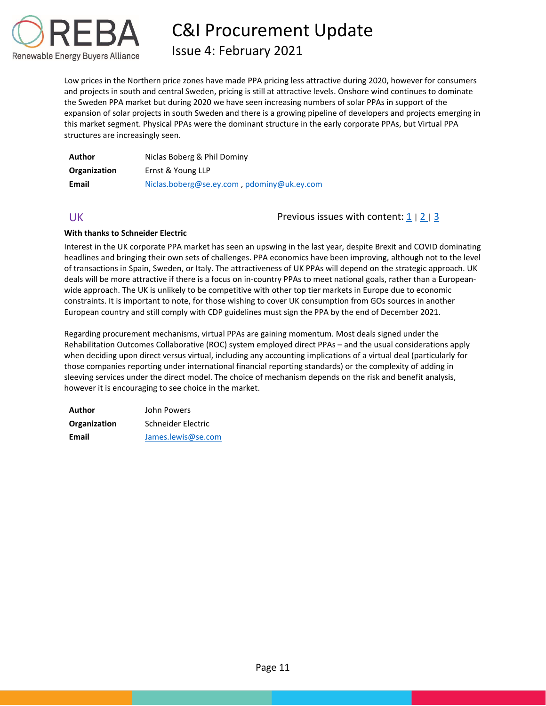

Issue 4: February 2021

Low prices in the Northern price zones have made PPA pricing less attractive during 2020, however for consumers and projects in south and central Sweden, pricing is still at attractive levels. Onshore wind continues to dominate the Sweden PPA market but during 2020 we have seen increasing numbers of solar PPAs in support of the expansion of solar projects in south Sweden and there is a growing pipeline of developers and projects emerging in this market segment. Physical PPAs were the dominant structure in the early corporate PPAs, but Virtual PPA structures are increasingly seen.

| Author       | Niclas Boberg & Phil Dominy                |
|--------------|--------------------------------------------|
| Organization | Ernst & Young LLP                          |
| Email        | Niclas.boberg@se.ey.com, pdominy@uk.ey.com |

<span id="page-11-0"></span>UK Previous issues with content: [1](https://reba2019dev.wpengine.com/wp-content/uploads/2020/02/REBA-CI-Procurement-Update_Feb-2020-1.pdf) | [2](https://rebuyers.org/wp-content/uploads/2020/07/C_I_Procurement_Update_Issue_2.pdf) | [3](https://documentcloud.adobe.com/link/track?uri=urn:aaid:scds:US:6601ed7a-4da4-4e40-8b34-921171ec412a#pageNum=1)

### **With thanks to Schneider Electric**

Interest in the UK corporate PPA market has seen an upswing in the last year, despite Brexit and COVID dominating headlines and bringing their own sets of challenges. PPA economics have been improving, although not to the level of transactions in Spain, Sweden, or Italy. The attractiveness of UK PPAs will depend on the strategic approach. UK deals will be more attractive if there is a focus on in-country PPAs to meet national goals, rather than a Europeanwide approach. The UK is unlikely to be competitive with other top tier markets in Europe due to economic constraints. It is important to note, for those wishing to cover UK consumption from GOs sources in another European country and still comply with CDP guidelines must sign the PPA by the end of December 2021.

Regarding procurement mechanisms, virtual PPAs are gaining momentum. Most deals signed under the Rehabilitation Outcomes Collaborative (ROC) system employed direct PPAs – and the usual considerations apply when deciding upon direct versus virtual, including any accounting implications of a virtual deal (particularly for those companies reporting under international financial reporting standards) or the complexity of adding in sleeving services under the direct model. The choice of mechanism depends on the risk and benefit analysis, however it is encouraging to see choice in the market.

| Author       | John Powers        |
|--------------|--------------------|
| Organization | Schneider Electric |
| Email        | James.lewis@se.com |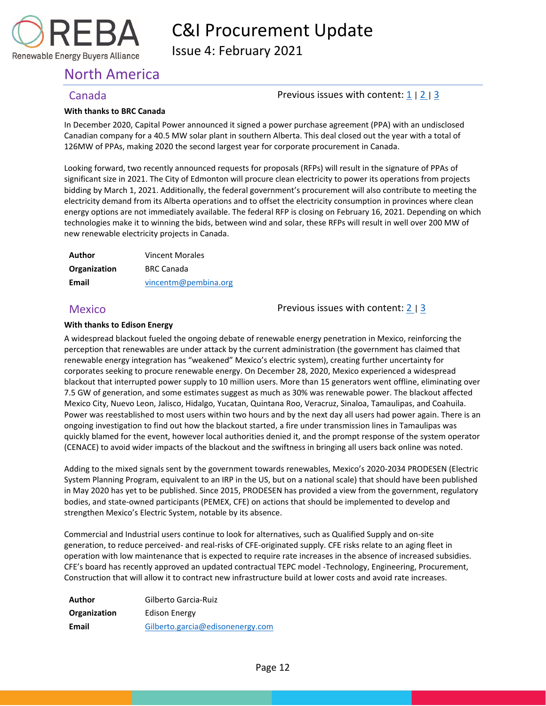

Issue 4: February 2021

## <span id="page-12-0"></span>North America

### <span id="page-12-1"></span>Canada **Previous issues with content:** [1](https://reba2019dev.wpengine.com/wp-content/uploads/2020/02/REBA-CI-Procurement-Update_Feb-2020-1.pdf) | [2](https://rebuyers.org/wp-content/uploads/2020/07/C_I_Procurement_Update_Issue_2.pdf) | [3](https://documentcloud.adobe.com/link/track?uri=urn:aaid:scds:US:6601ed7a-4da4-4e40-8b34-921171ec412a#pageNum=1)

#### **With thanks to BRC Canada**

In December 2020, Capital Power announced it signed a power purchase agreement (PPA) with an undisclosed Canadian company for a 40.5 MW solar plant in southern Alberta. This deal closed out the year with a total of 126MW of PPAs, making 2020 the second largest year for corporate procurement in Canada.

Looking forward, two recently announced requests for proposals (RFPs) will result in the signature of PPAs of significant size in 2021. The City of Edmonton will procure clean electricity to power its operations from projects bidding by March 1, 2021. Additionally, the federal government's procurement will also contribute to meeting the electricity demand from its Alberta operations and to offset the electricity consumption in provinces where clean energy options are not immediately available. The federal RFP is closing on February 16, 2021. Depending on which technologies make it to winning the bids, between wind and solar, these RFPs will result in well over 200 MW of new renewable electricity projects in Canada.

| Author       | <b>Vincent Morales</b> |
|--------------|------------------------|
| Organization | <b>BRC Canada</b>      |
| Email        | vincentm@pembina.org   |

### <span id="page-12-2"></span>Mexico **Previous issues with content:** [2](https://rebuyers.org/wp-content/uploads/2020/07/C_I_Procurement_Update_Issue_2.pdf) | [3](https://documentcloud.adobe.com/link/track?uri=urn:aaid:scds:US:6601ed7a-4da4-4e40-8b34-921171ec412a#pageNum=1)

#### **With thanks to Edison Energy**

A widespread blackout fueled the ongoing debate of renewable energy penetration in Mexico, reinforcing the perception that renewables are under attack by the current administration (the government has claimed that renewable energy integration has "weakened" Mexico's electric system), creating further uncertainty for corporates seeking to procure renewable energy. On December 28, 2020, Mexico experienced a widespread blackout that interrupted power supply to 10 million users. More than 15 generators went offline, eliminating over 7.5 GW of generation, and some estimates suggest as much as 30% was renewable power. The blackout affected Mexico City, Nuevo Leon, Jalisco, Hidalgo, Yucatan, Quintana Roo, Veracruz, Sinaloa, Tamaulipas, and Coahuila. Power was reestablished to most users within two hours and by the next day all users had power again. There is an ongoing investigation to find out how the blackout started, a fire under transmission lines in Tamaulipas was quickly blamed for the event, however local authorities denied it, and the prompt response of the system operator (CENACE) to avoid wider impacts of the blackout and the swiftness in bringing all users back online was noted.

Adding to the mixed signals sent by the government towards renewables, Mexico's 2020-2034 PRODESEN (Electric System Planning Program, equivalent to an IRP in the US, but on a national scale) that should have been published in May 2020 has yet to be published. Since 2015, PRODESEN has provided a view from the government, regulatory bodies, and state-owned participants (PEMEX, CFE) on actions that should be implemented to develop and strengthen Mexico's Electric System, notable by its absence.

Commercial and Industrial users continue to look for alternatives, such as Qualified Supply and on-site generation, to reduce perceived- and real-risks of CFE-originated supply. CFE risks relate to an aging fleet in operation with low maintenance that is expected to require rate increases in the absence of increased subsidies. CFE's board has recently approved an updated contractual TEPC model -Technology, Engineering, Procurement, Construction that will allow it to contract new infrastructure build at lower costs and avoid rate increases.

| Author       | Gilberto Garcia-Ruiz             |
|--------------|----------------------------------|
| Organization | Edison Energy                    |
| Email        | Gilberto.garcia@edisonenergy.com |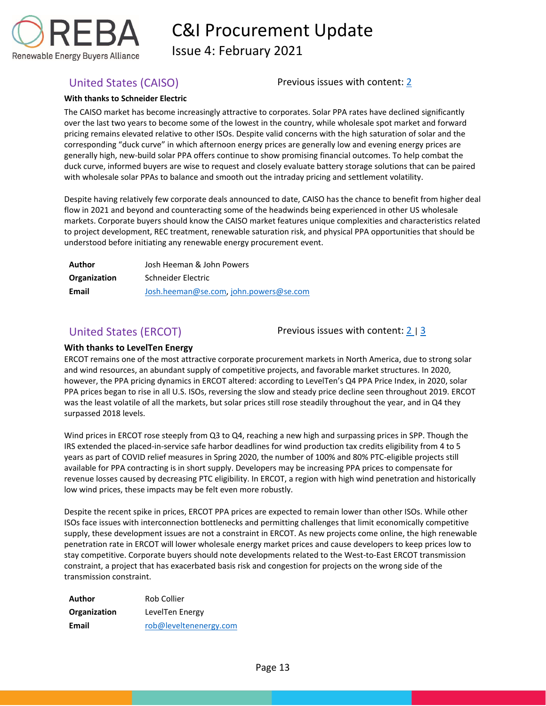

Issue 4: February 2021

<span id="page-13-0"></span>United States (CAISO) Previous issues with content: [2](https://rebuyers.org/wp-content/uploads/2020/07/C_I_Procurement_Update_Issue_2.pdf)

#### **With thanks to Schneider Electric**

The CAISO market has become increasingly attractive to corporates. Solar PPA rates have declined significantly over the last two years to become some of the lowest in the country, while wholesale spot market and forward pricing remains elevated relative to other ISOs. Despite valid concerns with the high saturation of solar and the corresponding "duck curve" in which afternoon energy prices are generally low and evening energy prices are generally high, new-build solar PPA offers continue to show promising financial outcomes. To help combat the duck curve, informed buyers are wise to request and closely evaluate battery storage solutions that can be paired with wholesale solar PPAs to balance and smooth out the intraday pricing and settlement volatility.

Despite having relatively few corporate deals announced to date, CAISO has the chance to benefit from higher deal flow in 2021 and beyond and counteracting some of the headwinds being experienced in other US wholesale markets. Corporate buyers should know the CAISO market features unique complexities and characteristics related to project development, REC treatment, renewable saturation risk, and physical PPA opportunities that should be understood before initiating any renewable energy procurement event.

| Author       | Josh Heeman & John Powers             |  |
|--------------|---------------------------------------|--|
| Organization | Schneider Electric                    |  |
| Email        | Josh.heeman@se.com.john.powers@se.com |  |

<span id="page-13-1"></span>United States (ERCOT) Previous issues with content: [2](https://rebuyers.org/wp-content/uploads/2020/07/C_I_Procurement_Update_Issue_2.pdf) | [3](https://documentcloud.adobe.com/link/track?uri=urn:aaid:scds:US:6601ed7a-4da4-4e40-8b34-921171ec412a#pageNum=1)

### **With thanks to LevelTen Energy**

ERCOT remains one of the most attractive corporate procurement markets in North America, due to strong solar and wind resources, an abundant supply of competitive projects, and favorable market structures. In 2020, however, the PPA pricing dynamics in ERCOT altered: according to LevelTen's Q4 PPA Price Index, in 2020, solar PPA prices began to rise in all U.S. ISOs, reversing the slow and steady price decline seen throughout 2019. ERCOT was the least volatile of all the markets, but solar prices still rose steadily throughout the year, and in Q4 they surpassed 2018 levels.

Wind prices in ERCOT rose steeply from Q3 to Q4, reaching a new high and surpassing prices in SPP. Though the IRS extended the placed-in-service safe harbor deadlines for wind production tax credits eligibility from 4 to 5 years as part of COVID relief measures in Spring 2020, the number of 100% and 80% PTC-eligible projects still available for PPA contracting is in short supply. Developers may be increasing PPA prices to compensate for revenue losses caused by decreasing PTC eligibility. In ERCOT, a region with high wind penetration and historically low wind prices, these impacts may be felt even more robustly.

Despite the recent spike in prices, ERCOT PPA prices are expected to remain lower than other ISOs. While other ISOs face issues with interconnection bottlenecks and permitting challenges that limit economically competitive supply, these development issues are not a constraint in ERCOT. As new projects come online, the high renewable penetration rate in ERCOT will lower wholesale energy market prices and cause developers to keep prices low to stay competitive. Corporate buyers should note developments related to the West-to-East ERCOT transmission constraint, a project that has exacerbated basis risk and congestion for projects on the wrong side of the transmission constraint.

| Author       | Rob Collier            |
|--------------|------------------------|
| Organization | LevelTen Energy        |
| Email        | rob@leveltenenergy.com |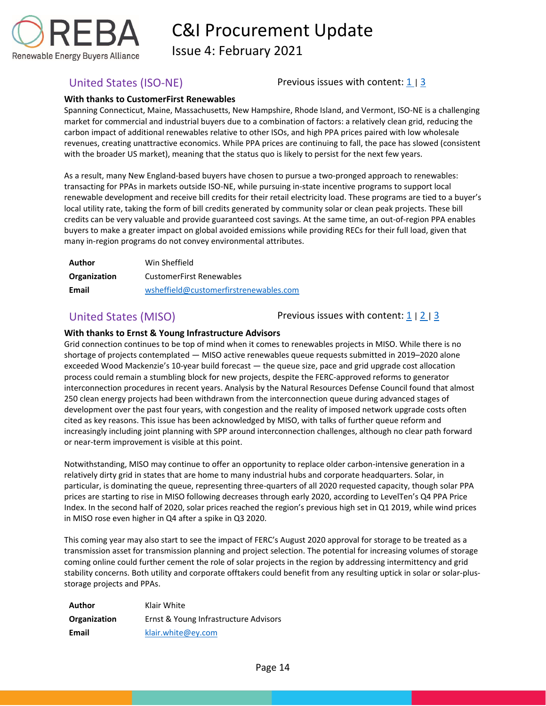

Issue 4: February 2021

<span id="page-14-0"></span>United States (ISO-NE) Previous issues with content:  $\frac{1}{3}$  $\frac{1}{3}$  $\frac{1}{3}$ 

### **With thanks to CustomerFirst Renewables**

Spanning Connecticut, Maine, Massachusetts, New Hampshire, Rhode Island, and Vermont, ISO-NE is a challenging market for commercial and industrial buyers due to a combination of factors: a relatively clean grid, reducing the carbon impact of additional renewables relative to other ISOs, and high PPA prices paired with low wholesale revenues, creating unattractive economics. While PPA prices are continuing to fall, the pace has slowed (consistent with the broader US market), meaning that the status quo is likely to persist for the next few years.

As a result, many New England-based buyers have chosen to pursue a two-pronged approach to renewables: transacting for PPAs in markets outside ISO-NE, while pursuing in-state incentive programs to support local renewable development and receive bill credits for their retail electricity load. These programs are tied to a buyer's local utility rate, taking the form of bill credits generated by community solar or clean peak projects. These bill credits can be very valuable and provide guaranteed cost savings. At the same time, an out-of-region PPA enables buyers to make a greater impact on global avoided emissions while providing RECs for their full load, given that many in-region programs do not convey environmental attributes.

| Author       | Win Sheffield                          |
|--------------|----------------------------------------|
| Organization | <b>CustomerFirst Renewables</b>        |
| Email        | wsheffield@customerfirstrenewables.com |

<span id="page-14-1"></span>United States (MISO) Previous issues with content:  $\frac{1}{2}$  $\frac{1}{2}$  $\frac{1}{2}$  |  $\frac{3}{2}$  $\frac{3}{2}$  $\frac{3}{2}$ 

### **With thanks to Ernst & Young Infrastructure Advisors**

Grid connection continues to be top of mind when it comes to renewables projects in MISO. While there is no shortage of projects contemplated — MISO active renewables queue requests submitted in 2019–2020 alone exceeded Wood Mackenzie's 10-year build forecast — the queue size, pace and grid upgrade cost allocation process could remain a stumbling block for new projects, despite the FERC-approved reforms to generator interconnection procedures in recent years. Analysis by the Natural Resources Defense Council found that almost 250 clean energy projects had been withdrawn from the interconnection queue during advanced stages of development over the past four years, with congestion and the reality of imposed network upgrade costs often cited as key reasons. This issue has been acknowledged by MISO, with talks of further queue reform and increasingly including joint planning with SPP around interconnection challenges, although no clear path forward or near-term improvement is visible at this point.

Notwithstanding, MISO may continue to offer an opportunity to replace older carbon-intensive generation in a relatively dirty grid in states that are home to many industrial hubs and corporate headquarters. Solar, in particular, is dominating the queue, representing three-quarters of all 2020 requested capacity, though solar PPA prices are starting to rise in MISO following decreases through early 2020, according to LevelTen's Q4 PPA Price Index. In the second half of 2020, solar prices reached the region's previous high set in Q1 2019, while wind prices in MISO rose even higher in Q4 after a spike in Q3 2020.

This coming year may also start to see the impact of FERC's August 2020 approval for storage to be treated as a transmission asset for transmission planning and project selection. The potential for increasing volumes of storage coming online could further cement the role of solar projects in the region by addressing intermittency and grid stability concerns. Both utility and corporate offtakers could benefit from any resulting uptick in solar or solar-plusstorage projects and PPAs.

**Author** Klair White **Organization** Ernst & Young Infrastructure Advisors **Email** [klair.white@ey.com](mailto:klair.white@ey.com)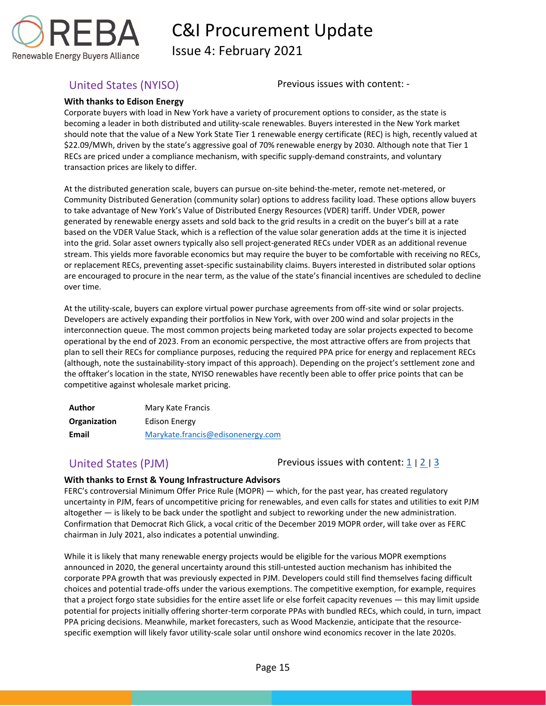

Issue 4: February 2021

<span id="page-15-0"></span>United States (NYISO) Previous issues with content: -

### **With thanks to Edison Energy**

Corporate buyers with load in New York have a variety of procurement options to consider, as the state is becoming a leader in both distributed and utility-scale renewables. Buyers interested in the New York market should note that the value of a New York State Tier 1 renewable energy certificate (REC) is high, recently valued at \$22.09/MWh, driven by the state's aggressive goal of 70% renewable energy by 2030. Although note that Tier 1 RECs are priced under a compliance mechanism, with specific supply-demand constraints, and voluntary transaction prices are likely to differ.

At the distributed generation scale, buyers can pursue on-site behind-the-meter, remote net-metered, or Community Distributed Generation (community solar) options to address facility load. These options allow buyers to take advantage of New York's Value of Distributed Energy Resources (VDER) tariff. Under VDER, power generated by renewable energy assets and sold back to the grid results in a credit on the buyer's bill at a rate based on the VDER Value Stack, which is a reflection of the value solar generation adds at the time it is injected into the grid. Solar asset owners typically also sell project-generated RECs under VDER as an additional revenue stream. This yields more favorable economics but may require the buyer to be comfortable with receiving no RECs, or replacement RECs, preventing asset-specific sustainability claims. Buyers interested in distributed solar options are encouraged to procure in the near term, as the value of the state's financial incentives are scheduled to decline over time.

At the utility-scale, buyers can explore virtual power purchase agreements from off-site wind or solar projects. Developers are actively expanding their portfolios in New York, with over 200 wind and solar projects in the interconnection queue. The most common projects being marketed today are solar projects expected to become operational by the end of 2023. From an economic perspective, the most attractive offers are from projects that plan to sell their RECs for compliance purposes, reducing the required PPA price for energy and replacement RECs (although, note the sustainability-story impact of this approach). Depending on the project's settlement zone and the offtaker's location in the state, NYISO renewables have recently been able to offer price points that can be competitive against wholesale market pricing.

| Author       | Mary Kate Francis                 |
|--------------|-----------------------------------|
| Organization | Edison Energy                     |
| Email        | Marykate.francis@edisonenergy.com |

<span id="page-15-1"></span>United States (PJM)  $\blacksquare$  Previous issues with content:  $\frac{1}{2}$  $\frac{1}{2}$  $\frac{1}{2}$  |  $\frac{2}{3}$  $\frac{2}{3}$  $\frac{2}{3}$ 

### **With thanks to Ernst & Young Infrastructure Advisors**

FERC's controversial Minimum Offer Price Rule (MOPR) — which, for the past year, has created regulatory uncertainty in PJM, fears of uncompetitive pricing for renewables, and even calls for states and utilities to exit PJM altogether — is likely to be back under the spotlight and subject to reworking under the new administration. Confirmation that Democrat Rich Glick, a vocal critic of the December 2019 MOPR order, will take over as FERC chairman in July 2021, also indicates a potential unwinding.

While it is likely that many renewable energy projects would be eligible for the various MOPR exemptions announced in 2020, the general uncertainty around this still-untested auction mechanism has inhibited the corporate PPA growth that was previously expected in PJM. Developers could still find themselves facing difficult choices and potential trade-offs under the various exemptions. The competitive exemption, for example, requires that a project forgo state subsidies for the entire asset life or else forfeit capacity revenues — this may limit upside potential for projects initially offering shorter-term corporate PPAs with bundled RECs, which could, in turn, impact PPA pricing decisions. Meanwhile, market forecasters, such as Wood Mackenzie, anticipate that the resourcespecific exemption will likely favor utility-scale solar until onshore wind economics recover in the late 2020s.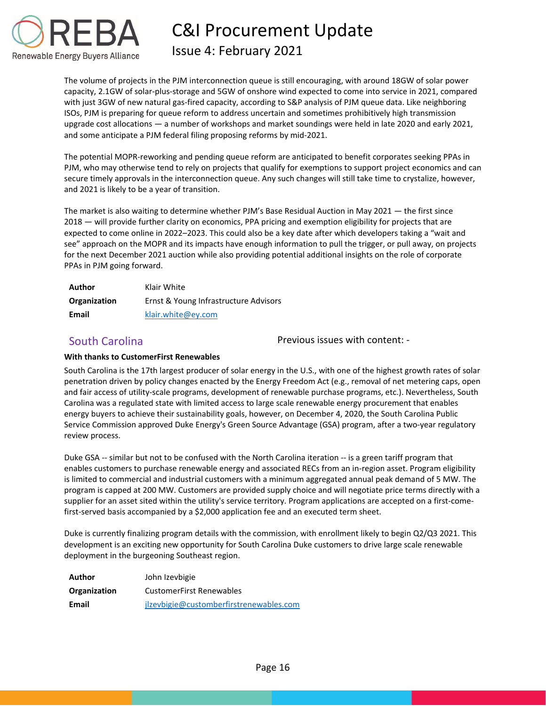

## Issue 4: February 2021

The volume of projects in the PJM interconnection queue is still encouraging, with around 18GW of solar power capacity, 2.1GW of solar-plus-storage and 5GW of onshore wind expected to come into service in 2021, compared with just 3GW of new natural gas-fired capacity, according to S&P analysis of PJM queue data. Like neighboring ISOs, PJM is preparing for queue reform to address uncertain and sometimes prohibitively high transmission upgrade cost allocations — a number of workshops and market soundings were held in late 2020 and early 2021, and some anticipate a PJM federal filing proposing reforms by mid-2021.

The potential MOPR-reworking and pending queue reform are anticipated to benefit corporates seeking PPAs in PJM, who may otherwise tend to rely on projects that qualify for exemptions to support project economics and can secure timely approvals in the interconnection queue. Any such changes will still take time to crystalize, however, and 2021 is likely to be a year of transition.

The market is also waiting to determine whether PJM's Base Residual Auction in May 2021 — the first since 2018 — will provide further clarity on economics, PPA pricing and exemption eligibility for projects that are expected to come online in 2022–2023. This could also be a key date after which developers taking a "wait and see" approach on the MOPR and its impacts have enough information to pull the trigger, or pull away, on projects for the next December 2021 auction while also providing potential additional insights on the role of corporate PPAs in PJM going forward.

| Author       | Klair White                           |
|--------------|---------------------------------------|
| Organization | Ernst & Young Infrastructure Advisors |
| Email        | klair.white@ey.com                    |

<span id="page-16-0"></span>South Carolina Previous issues with content: -

### **With thanks to CustomerFirst Renewables**

South Carolina is the 17th largest producer of solar energy in the U.S., with one of the highest growth rates of solar penetration driven by policy changes enacted by the Energy Freedom Act (e.g., removal of net metering caps, open and fair access of utility-scale programs, development of renewable purchase programs, etc.). Nevertheless, South Carolina was a regulated state with limited access to large scale renewable energy procurement that enables energy buyers to achieve their sustainability goals, however, on December 4, 2020, the South Carolina Public Service Commission approved Duke Energy's Green Source Advantage (GSA) program, after a two-year regulatory review process.

Duke GSA -- similar but not to be confused with the North Carolina iteration -- is a green tariff program that enables customers to purchase renewable energy and associated RECs from an in-region asset. Program eligibility is limited to commercial and industrial customers with a minimum aggregated annual peak demand of 5 MW. The program is capped at 200 MW. Customers are provided supply choice and will negotiate price terms directly with a supplier for an asset sited within the utility's service territory. Program applications are accepted on a first-comefirst-served basis accompanied by a \$2,000 application fee and an executed term sheet.

Duke is currently finalizing program details with the commission, with enrollment likely to begin Q2/Q3 2021. This development is an exciting new opportunity for South Carolina Duke customers to drive large scale renewable deployment in the burgeoning Southeast region.

| Author       | John Izevbigie                          |
|--------------|-----------------------------------------|
| Organization | <b>CustomerFirst Renewables</b>         |
| Email        | jlzevbigie@customberfirstrenewables.com |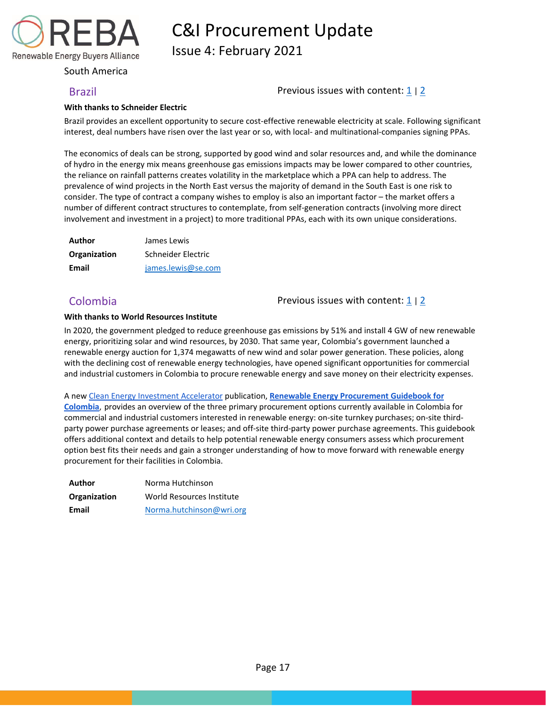

Issue 4: February 2021

<span id="page-17-0"></span>South America

<span id="page-17-1"></span>Brazil **Brazil Previous issues with content:** [1](https://reba2019dev.wpengine.com/wp-content/uploads/2020/02/REBA-CI-Procurement-Update_Feb-2020-1.pdf) | [2](https://rebuyers.org/wp-content/uploads/2020/07/C_I_Procurement_Update_Issue_2.pdf)

### **With thanks to Schneider Electric**

Brazil provides an excellent opportunity to secure cost-effective renewable electricity at scale. Following significant interest, deal numbers have risen over the last year or so, with local- and multinational-companies signing PPAs.

The economics of deals can be strong, supported by good wind and solar resources and, and while the dominance of hydro in the energy mix means greenhouse gas emissions impacts may be lower compared to other countries, the reliance on rainfall patterns creates volatility in the marketplace which a PPA can help to address. The prevalence of wind projects in the North East versus the majority of demand in the South East is one risk to consider. The type of contract a company wishes to employ is also an important factor – the market offers a number of different contract structures to contemplate, from self-generation contracts (involving more direct involvement and investment in a project) to more traditional PPAs, each with its own unique considerations.

| Author       | James Lewis        |
|--------------|--------------------|
| Organization | Schneider Electric |
| Email        | james.lewis@se.com |

<span id="page-17-2"></span>Colombia Previous issues with content: [1](https://reba2019dev.wpengine.com/wp-content/uploads/2020/02/REBA-CI-Procurement-Update_Feb-2020-1.pdf) <sup>|</sup>[2](https://rebuyers.org/wp-content/uploads/2020/07/C_I_Procurement_Update_Issue_2.pdf)

#### **With thanks to World Resources Institute**

In 2020, the government pledged to reduce greenhouse gas emissions by 51% and install 4 GW of new renewable energy, prioritizing solar and wind resources, by 2030. That same year, Colombia's government launched a renewable energy auction for 1,374 megawatts of new wind and solar power generation. These policies, along with the declining cost of renewable energy technologies, have opened significant opportunities for commercial and industrial customers in Colombia to procure renewable energy and save money on their electricity expenses.

#### A ne[w Clean Energy Investment Accelerator](https://nam10.safelinks.protection.outlook.com/?url=https%3A%2F%2Fwww.cleanenergyinvest.org%2F&data=04%7C01%7Ckkerr%40rebuyers.org%7C2e1f4a28ea71435a6d4208d8b8a59374%7C85e98bb78ec64977a794ffb1ede0f3df%7C1%7C0%7C637462368602591539%7CUnknown%7CTWFpbGZsb3d8eyJWIjoiMC4wLjAwMDAiLCJQIjoiV2luMzIiLCJBTiI6Ik1haWwiLCJXVCI6Mn0%3D%7C1000&sdata=dUPjAf5ERPoB1byISin1ZS8L9FsmCRgIGn0Sxl34Cq8%3D&reserved=0) publication, **[Renewable Energy Procurement Guidebook for](https://nam10.safelinks.protection.outlook.com/?url=https%3A%2F%2Fwww.wri.org%2Fpublication%2Frenewable-energy-procurement-guidebook-colombia&data=04%7C01%7Ckkerr%40rebuyers.org%7C2e1f4a28ea71435a6d4208d8b8a59374%7C85e98bb78ec64977a794ffb1ede0f3df%7C1%7C0%7C637462368602601492%7CUnknown%7CTWFpbGZsb3d8eyJWIjoiMC4wLjAwMDAiLCJQIjoiV2luMzIiLCJBTiI6Ik1haWwiLCJXVCI6Mn0%3D%7C1000&sdata=0ZOMzFRhLr7NqHJjsRlI5%2Fb5oxKtBfp4RfemNjW9aiQ%3D&reserved=0)**

**[Colombia](https://nam10.safelinks.protection.outlook.com/?url=https%3A%2F%2Fwww.wri.org%2Fpublication%2Frenewable-energy-procurement-guidebook-colombia&data=04%7C01%7Ckkerr%40rebuyers.org%7C2e1f4a28ea71435a6d4208d8b8a59374%7C85e98bb78ec64977a794ffb1ede0f3df%7C1%7C0%7C637462368602601492%7CUnknown%7CTWFpbGZsb3d8eyJWIjoiMC4wLjAwMDAiLCJQIjoiV2luMzIiLCJBTiI6Ik1haWwiLCJXVCI6Mn0%3D%7C1000&sdata=0ZOMzFRhLr7NqHJjsRlI5%2Fb5oxKtBfp4RfemNjW9aiQ%3D&reserved=0)**, provides an overview of the three primary procurement options currently available in Colombia for commercial and industrial customers interested in renewable energy: on-site turnkey purchases; on-site thirdparty power purchase agreements or leases; and off-site third-party power purchase agreements. This guidebook offers additional context and details to help potential renewable energy consumers assess which procurement option best fits their needs and gain a stronger understanding of how to move forward with renewable energy procurement for their facilities in Colombia.

| Author       | Norma Hutchinson          |  |  |  |
|--------------|---------------------------|--|--|--|
| Organization | World Resources Institute |  |  |  |
| Email        | Norma.hutchinson@wri.org  |  |  |  |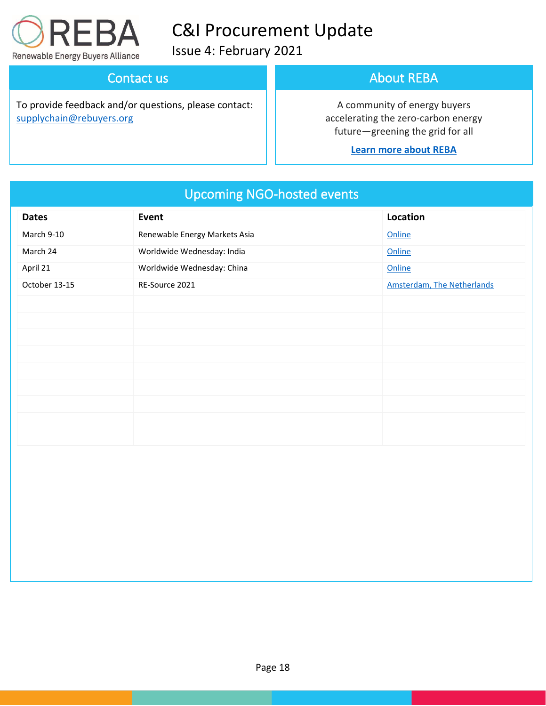

Issue 4: February 2021

## Contact us

To provide feedback and/or questions, please contact: [supplychain@rebuyers.org](mailto:supplychain@rebuyers.org)

## About REBA

A community of energy buyers accelerating the zero-carbon energy future—greening the grid for all

### **[Learn more about REBA](https://rebuyers.org/)**

| <b>Dates</b>  | Event                         | Location                          |
|---------------|-------------------------------|-----------------------------------|
| March 9-10    | Renewable Energy Markets Asia | Online                            |
| March 24      | Worldwide Wednesday: India    | Online                            |
| April 21      | Worldwide Wednesday: China    | Online                            |
| October 13-15 | RE-Source 2021                | <b>Amsterdam, The Netherlands</b> |
|               |                               |                                   |
|               |                               |                                   |
|               |                               |                                   |
|               |                               |                                   |
|               |                               |                                   |
|               |                               |                                   |
|               |                               |                                   |
|               |                               |                                   |
|               |                               |                                   |

# Upcoming NGO-hosted events